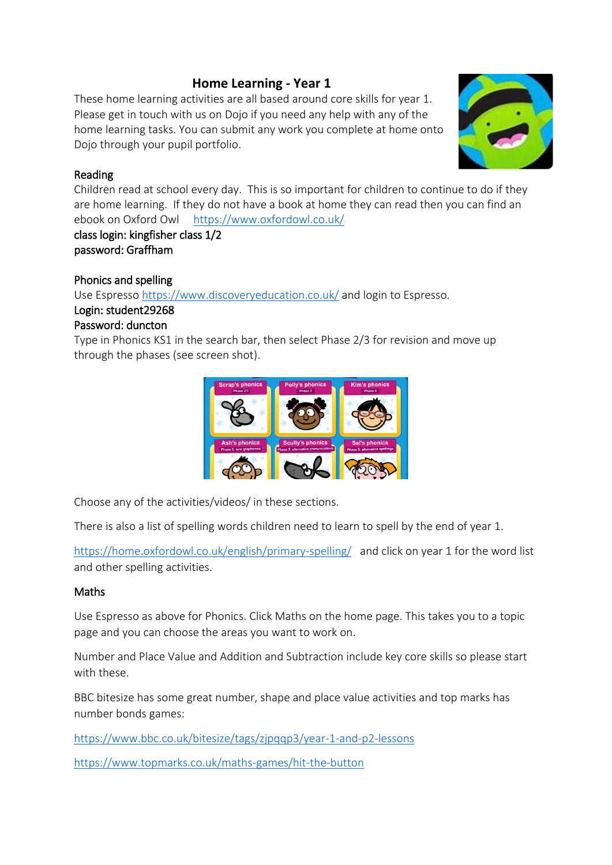# **Home Learning - Year 1**

These home learning activities are all based around core skills for year 1. Please get in touch with us on Dojo if you need any help with any of the home learning tasks. You can submit any work you complete at home onto Dojo through your pupil portfolio.



#### Reading

Children read at school every day. This is so important for children to continue to do if they are home learning. If they do not have a book at home they can read then you can find an ebook on Oxford Owl https://www.oxfordowl.co.uk/

class login: kingfisher class 1/2 password: Graffham

## Phonics and spelling

Use Espresso https://www.discoveryeducation.co.uk/ and login to Espresso.

## Login: student29268

#### Password: duncton

Type in Phonics KS1 in the search bar, then select Phase 2/3 for revision and move up through the phases (see screen shot).



Choose any of the activities/videos/ in these sections.

There is also a list of spelling words children need to learn to spell by the end of year 1.

https://home.oxfordowl.co.uk/english/primary-spelling/ and click on year 1 for the word list and other spelling activities.

## Maths

Use Espresso as above for Phonics. Click Maths on the home page. This takes you to a topic page and you can choose the areas you want to work on.

Number and Place Value and Addition and Subtraction include key core skills so please start with these.

BBC bitesize has some great number, shape and place value activities and top marks has number bonds games:

https://www.bbc.co.uk/bitesize/tags/zjpqqp3/year-1-and-p2-lessons

https://www.topmarks.co.uk/maths-games/hit-the-button